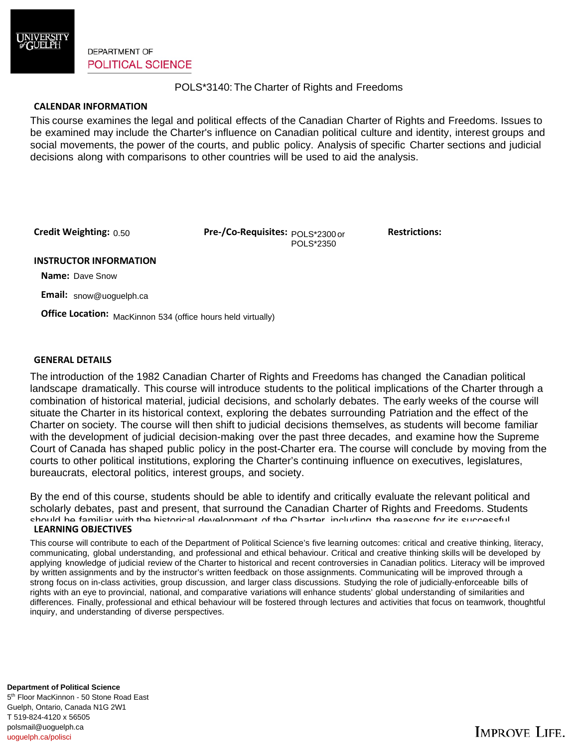

**DEPARTMENT OF POLITICAL SCIENCE** 

## POLS\*3140: The Charter of Rights and Freedoms

## **CALENDAR INFORMATION**

This course examines the legal and political effects of the Canadian Charter of Rights and Freedoms. Issues to be examined may include the Charter's influence on Canadian political culture and identity, interest groups and social movements, the power of the courts, and public policy. Analysis of specific Charter sections and judicial decisions along with comparisons to other countries will be used to aid the analysis.

Credit Weighting: 0.50

**Credit Weighting:** 0.50 **Pre-/Co-Requisites:**  $p_{\text{OLS}^*2300 \text{ or}}$  Restrictions: POLS\*2350

#### **INSTRUCTOR INFORMATION**

 **Name:** Dave Snow

 **Email:** snow@uoguelph.ca

**Office Location:** MacKinnon 534 (office hours held virtually)

## **GENERAL DETAILS**

The introduction of the 1982 Canadian Charter of Rights and Freedoms has changed the Canadian political landscape dramatically. This course will introduce students to the political implications of the Charter through a combination of historical material, judicial decisions, and scholarly debates. The early weeks of the course will situate the Charter in its historical context, exploring the debates surrounding Patriation and the effect of the Charter on society. The course will then shift to judicial decisions themselves, as students will become familiar with the development of judicial decision-making over the past three decades, and examine how the Supreme Court of Canada has shaped public policy in the post-Charter era. The course will conclude by moving from the courts to other political institutions, exploring the Charter's continuing influence on executives, legislatures, bureaucrats, electoral politics, interest groups, and society.

**LEARNING OBJECTIVES** By the end of this course, students should be able to identify and critically evaluate the relevant political and scholarly debates, past and present, that surround the Canadian Charter of Rights and Freedoms. Students should be familiar with the historical development of the Charter, including the reasons for its successful

This course will contribute to each of the Department of Political Science's five learning outcomes: critical and creative thinking, literacy, communicating, global understanding, and professional and ethical behaviour. Critical and creative thinking skills will be developed by<br>can bina linewhatse of judicial review of the Charter bistorical and recent contravers applying knowledge of judicial review of the onarter to histoncal and recent controversies in canadian politics. Elteracy will be improved through a<br>by written assignments and by the instructor's written feedback on those applying knowledge of judicial review of the Charter to historical and recent controversies in Canadian politics. Literacy will be improved strong focus on in-class activities, group discussion, and larger class discussions. Studying the role of judicially-enforceable bills of rights with an eye to provincial, national, and comparative variations will enhance students' global understanding of similarities and differences. Finally, professional and ethical behaviour will be fostered through lectures and activities that focus on teamwork, thoughtful inquiry, and understanding of diverse perspectives.

5<sup>th</sup> Floor MacKinnon - 50 Stone Road East Guelph, Ontario, Canada N1G 2W1 **Department of Political Science**  T 519-824-4120 x 56505 polsmail@uoguelph.ca uoguelph.ca/polisci

# **IMPROVE LIFE.**